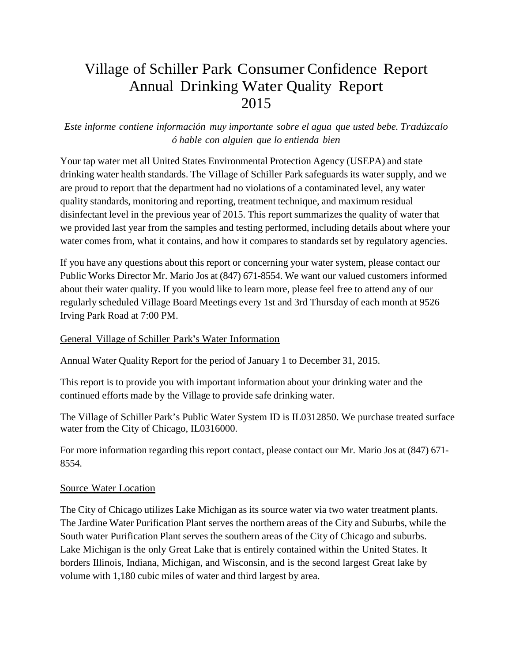# Village of Schiller Park Consumer Confidence Report Annual Drinking Water Quality Report 2015

## *Este informe contiene información muy importante sobre el agua que usted bebe. Tradúzcalo ó hable con alguien que lo entienda bien*

Your tap water met all United States Environmental Protection Agency (USEPA) and state drinking water health standards. The Village of Schiller Park safeguards its water supply, and we are proud to report that the department had no violations of a contaminated level, any water quality standards, monitoring and reporting, treatment technique, and maximum residual disinfectant level in the previous year of 2015. This report summarizes the quality of water that we provided last year from the samples and testing performed, including details about where your water comes from, what it contains, and how it compares to standards set by regulatory agencies.

If you have any questions about this report or concerning your water system, please contact our Public Works Director Mr. Mario Jos at (847) 671-8554. We want our valued customers informed about their water quality. If you would like to learn more, please feel free to attend any of our regularly scheduled Village Board Meetings every 1st and 3rd Thursday of each month at 9526 Irving Park Road at 7:00 PM.

## General Village of Schiller Park's Water Information

Annual Water Quality Report for the period of January 1 to December 31, 2015.

This report is to provide you with important information about your drinking water and the continued efforts made by the Village to provide safe drinking water.

The Village of Schiller Park's Public Water System ID is IL0312850. We purchase treated surface water from the City of Chicago, IL0316000.

For more information regarding this report contact, please contact our Mr. Mario Jos at (847) 671- 8554.

## Source Water Location

The City of Chicago utilizes Lake Michigan as its source water via two water treatment plants. The Jardine Water Purification Plant serves the northern areas of the City and Suburbs, while the South water Purification Plant serves the southern areas of the City of Chicago and suburbs. Lake Michigan is the only Great Lake that is entirely contained within the United States. It borders Illinois, Indiana, Michigan, and Wisconsin, and is the second largest Great lake by volume with 1,180 cubic miles of water and third largest by area.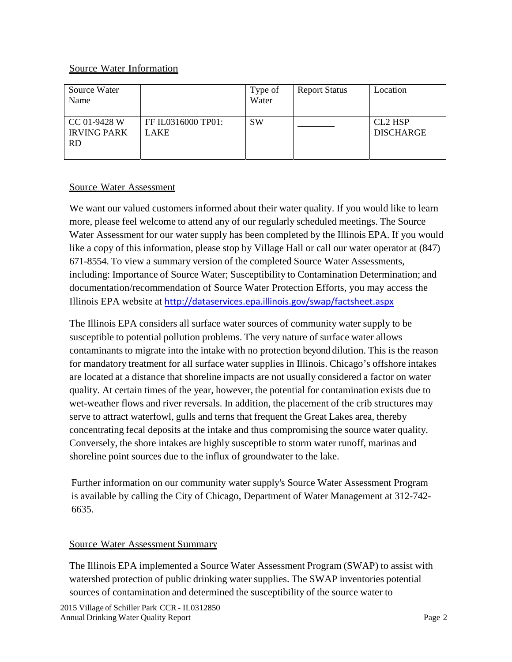## Source Water Information

| Source Water<br>Name                            |                                   | Type of<br>Water | <b>Report Status</b> | Location                                |
|-------------------------------------------------|-----------------------------------|------------------|----------------------|-----------------------------------------|
| CC 01-9428 W<br><b>IRVING PARK</b><br><b>RD</b> | FF IL0316000 TP01:<br><b>LAKE</b> | <b>SW</b>        |                      | CL <sub>2</sub> HSP<br><b>DISCHARGE</b> |

## Source Water Assessment

We want our valued customers informed about their water quality. If you would like to learn more, please feel welcome to attend any of our regularly scheduled meetings. The Source Water Assessment for our water supply has been completed by the Illinois EPA. If you would like a copy of this information, please stop by Village Hall or call our water operator at (847) 671-8554. To view a summary version of the completed Source Water Assessments, including: Importance of Source Water; Susceptibility to Contamination Determination; and documentation/recommendation of Source Water Protection Efforts, you may access the Illinois EPA website at http://dataservices.epa.illinois.gov/swap/factsheet.aspx

The Illinois EPA considers all surface water sources of community water supply to be susceptible to potential pollution problems. The very nature of surface water allows contaminants to migrate into the intake with no protection beyond dilution. This is the reason for mandatory treatment for all surface water supplies in Illinois. Chicago's offshore intakes are located at a distance that shoreline impacts are not usually considered a factor on water quality. At certain times of the year, however, the potential for contamination exists due to wet-weather flows and river reversals. In addition, the placement of the crib structures may serve to attract waterfowl, gulls and terns that frequent the Great Lakes area, thereby concentrating fecal deposits at the intake and thus compromising the source water quality. Conversely, the shore intakes are highly susceptible to storm water runoff, marinas and shoreline point sources due to the influx of groundwater to the lake.

Further information on our community water supply's Source Water Assessment Program is available by calling the City of Chicago, Department of Water Management at 312-742- 6635.

## Source Water Assessment Summary

The Illinois EPA implemented a Source Water Assessment Program (SWAP) to assist with watershed protection of public drinking water supplies. The SWAP inventories potential sources of contamination and determined the susceptibility of the source water to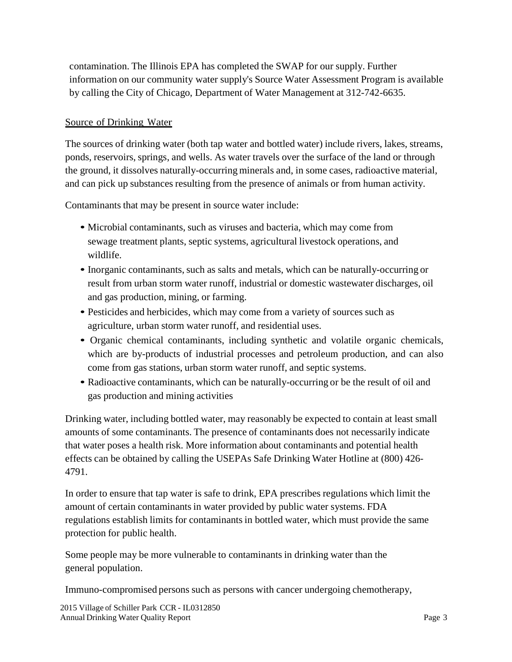contamination. The Illinois EPA has completed the SWAP for our supply. Further information on our community water supply's Source Water Assessment Program is available by calling the City of Chicago, Department of Water Management at 312-742-6635.

## Source of Drinking Water

The sources of drinking water (both tap water and bottled water) include rivers, lakes, streams, ponds, reservoirs, springs, and wells. As water travels over the surface of the land or through the ground, it dissolves naturally-occurring minerals and, in some cases, radioactive material, and can pick up substances resulting from the presence of animals or from human activity.

Contaminants that may be present in source water include:

- Microbial contaminants, such as viruses and bacteria, which may come from sewage treatment plants, septic systems, agricultural livestock operations, and wildlife.
- Inorganic contaminants, such as salts and metals, which can be naturally-occurring or result from urban storm water runoff, industrial or domestic wastewater discharges, oil and gas production, mining, or farming.
- Pesticides and herbicides, which may come from a variety of sources such as agriculture, urban storm water runoff, and residential uses.
- Organic chemical contaminants, including synthetic and volatile organic chemicals, which are by-products of industrial processes and petroleum production, and can also come from gas stations, urban storm water runoff, and septic systems.
- Radioactive contaminants, which can be naturally-occurring or be the result of oil and gas production and mining activities

Drinking water, including bottled water, may reasonably be expected to contain at least small amounts of some contaminants. The presence of contaminants does not necessarily indicate that water poses a health risk. More information about contaminants and potential health effects can be obtained by calling the USEPAs Safe Drinking Water Hotline at (800) 426- 4791.

In order to ensure that tap water is safe to drink, EPA prescribes regulations which limit the amount of certain contaminants in water provided by public water systems. FDA regulations establish limits for contaminants in bottled water, which must provide the same protection for public health.

Some people may be more vulnerable to contaminants in drinking water than the general population.

Immuno-compromised persons such as persons with cancer undergoing chemotherapy,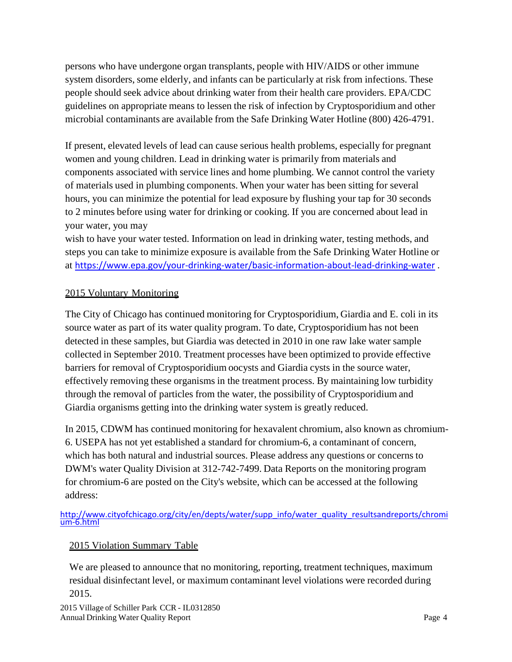persons who have undergone organ transplants, people with HIV/AIDS or other immune system disorders, some elderly, and infants can be particularly at risk from infections. These people should seek advice about drinking water from their health care providers. EPA/CDC guidelines on appropriate means to lessen the risk of infection by Cryptosporidium and other microbial contaminants are available from the Safe Drinking Water Hotline (800) 426-4791.

If present, elevated levels of lead can cause serious health problems, especially for pregnant women and young children. Lead in drinking water is primarily from materials and components associated with service lines and home plumbing. We cannot control the variety of materials used in plumbing components. When your water has been sitting for several hours, you can minimize the potential for lead exposure by flushing your tap for 30 seconds to 2 minutes before using water for drinking or cooking. If you are concerned about lead in your water, you may

wish to have your water tested. Information on lead in drinking water, testing methods, and steps you can take to minimize exposure is available from the Safe Drinking Water Hotline or at https://www.epa.gov/your-drinking-water/basic-information-about-lead-drinking-water .

## 2015 Voluntary Monitoring

The City of Chicago has continued monitoring for Cryptosporidium, Giardia and E. coli in its source water as part of its water quality program. To date, Cryptosporidium has not been detected in these samples, but Giardia was detected in 2010 in one raw lake water sample collected in September 2010. Treatment processes have been optimized to provide effective barriers for removal of Cryptosporidium oocysts and Giardia cysts in the source water, effectively removing these organisms in the treatment process. By maintaining low turbidity through the removal of particles from the water, the possibility of Cryptosporidium and Giardia organisms getting into the drinking water system is greatly reduced.

In 2015, CDWM has continued monitoring for hexavalent chromium, also known as chromium-6. USEPA has not yet established a standard for chromium-6, a contaminant of concern, which has both natural and industrial sources. Please address any questions or concerns to DWM's water Quality Division at 312-742-7499. Data Reports on the monitoring program for chromium-6 are posted on the City's website, which can be accessed at the following address:

http://www.cityofchicago.org/city/en/depts/water/supp\_info/water\_quality\_resultsandreports/chromi um‐6.html

## 2015 Violation Summary Table

We are pleased to announce that no monitoring, reporting, treatment techniques, maximum residual disinfectant level, or maximum contaminant level violations were recorded during 2015.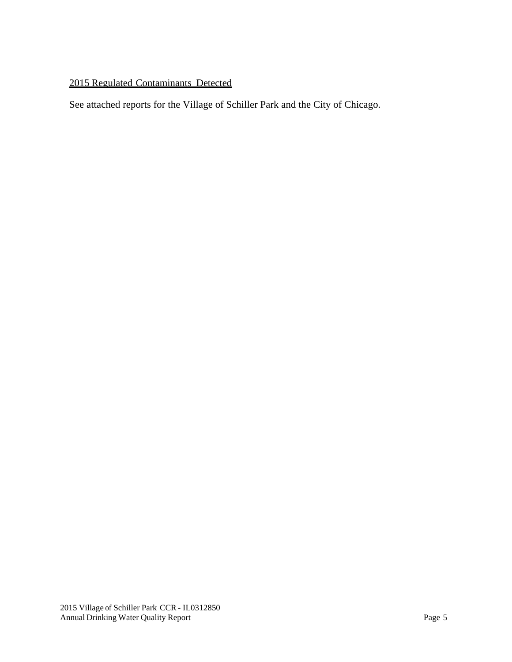## 2015 Regulated Contaminants Detected

See attached reports for the Village of Schiller Park and the City of Chicago.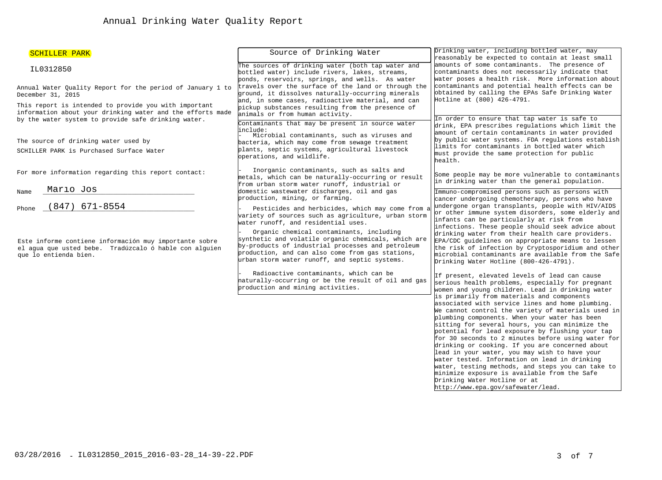| SCHILLER PARK                                                                                                                                                              | Source of Drinking Water                                                                                                                                                                                                                                  | Drinking water, including bottled water, may<br>reasonably be expected to contain at least small                                                                                                                                                                                                                                                                                                                                                                                                                                                                                                                                                                                                   |  |  |
|----------------------------------------------------------------------------------------------------------------------------------------------------------------------------|-----------------------------------------------------------------------------------------------------------------------------------------------------------------------------------------------------------------------------------------------------------|----------------------------------------------------------------------------------------------------------------------------------------------------------------------------------------------------------------------------------------------------------------------------------------------------------------------------------------------------------------------------------------------------------------------------------------------------------------------------------------------------------------------------------------------------------------------------------------------------------------------------------------------------------------------------------------------------|--|--|
| IL0312850                                                                                                                                                                  | The sources of drinking water (both tap water and<br>bottled water) include rivers, lakes, streams,<br>ponds, reservoirs, springs, and wells. As water                                                                                                    | amounts of some contaminants. The presence of<br>contaminants does not necessarily indicate that<br>water poses a health risk. More information about                                                                                                                                                                                                                                                                                                                                                                                                                                                                                                                                              |  |  |
| Annual Water Quality Report for the period of January 1 to<br>December 31, 2015                                                                                            | travels over the surface of the land or through the<br>ground, it dissolves naturally-occurring minerals<br>and, in some cases, radioactive material, and can                                                                                             | contaminants and potential health effects can be<br>obtained by calling the EPAs Safe Drinking Water<br>Hotline at (800) 426-4791.                                                                                                                                                                                                                                                                                                                                                                                                                                                                                                                                                                 |  |  |
| This report is intended to provide you with important<br>information about your drinking water and the efforts made<br>by the water system to provide safe drinking water. | pickup substances resulting from the presence of<br>animals or from human activity.<br>Contaminants that may be present in source water                                                                                                                   | In order to ensure that tap water is safe to<br>drink, EPA prescribes regulations which limit the                                                                                                                                                                                                                                                                                                                                                                                                                                                                                                                                                                                                  |  |  |
| The source of drinking water used by<br>SCHILLER PARK is Purchased Surface Water                                                                                           | linclude:<br>Microbial contaminants, such as viruses and<br>bacteria, which may come from sewage treatment<br>plants, septic systems, agricultural livestock                                                                                              | amount of certain contaminants in water provided<br>by public water systems. FDA regulations establish<br>limits for contaminants in bottled water which<br>must provide the same protection for public                                                                                                                                                                                                                                                                                                                                                                                                                                                                                            |  |  |
| For more information regarding this report contact:                                                                                                                        | operations, and wildlife.<br>Inorganic contaminants, such as salts and<br>metals, which can be naturally-occurring or result                                                                                                                              | health.<br>Some people may be more vulnerable to contaminants                                                                                                                                                                                                                                                                                                                                                                                                                                                                                                                                                                                                                                      |  |  |
| Mario Jos<br>Name                                                                                                                                                          | from urban storm water runoff, industrial or<br>domestic wastewater discharges, oil and gas                                                                                                                                                               | in drinking water than the general population.<br>Immuno-compromised persons such as persons with                                                                                                                                                                                                                                                                                                                                                                                                                                                                                                                                                                                                  |  |  |
| $(847)$ 671-8554<br>Phone                                                                                                                                                  | production, mining, or farming.<br>Pesticides and herbicides, which may come from a<br>variety of sources such as agriculture, urban storm<br>water runoff, and residential uses.                                                                         | cancer undergoing chemotherapy, persons who have<br>undergone organ transplants, people with HIV/AIDS<br>or other immune system disorders, some elderly and<br>infants can be particularly at risk from<br>infections. These people should seek advice about<br>drinking water from their health care providers.<br>EPA/CDC guidelines on appropriate means to lessen<br>the risk of infection by Cryptosporidium and other<br>microbial contaminants are available from the Safe<br>Drinking Water Hotline (800-426-4791).                                                                                                                                                                        |  |  |
| Este informe contiene información muy importante sobre<br>el agua que usted bebe. Tradúzcalo ó hable con alguien<br>que lo entienda bien.                                  | Organic chemical contaminants, including<br>synthetic and volatile organic chemicals, which are<br>by-products of industrial processes and petroleum<br>production, and can also come from gas stations,<br>urban storm water runoff, and septic systems. |                                                                                                                                                                                                                                                                                                                                                                                                                                                                                                                                                                                                                                                                                                    |  |  |
|                                                                                                                                                                            | Radioactive contaminants, which can be<br>haturally-occurring or be the result of oil and gas<br>production and mining activities.                                                                                                                        | If present, elevated levels of lead can cause<br>serious health problems, especially for pregnant<br>women and young children. Lead in drinking water                                                                                                                                                                                                                                                                                                                                                                                                                                                                                                                                              |  |  |
|                                                                                                                                                                            |                                                                                                                                                                                                                                                           | is primarily from materials and components<br>associated with service lines and home plumbing.<br>We cannot control the variety of materials used in<br>plumbing components. When your water has been<br>sitting for several hours, you can minimize the<br>potential for lead exposure by flushing your tap<br>for 30 seconds to 2 minutes before using water for<br>drinking or cooking. If you are concerned about<br>lead in your water, you may wish to have your<br>water tested. Information on lead in drinking<br>water, testing methods, and steps you can take to<br>minimize exposure is available from the Safe<br>Drinking Water Hotline or at<br>http://www.epa.gov/safewater/lead. |  |  |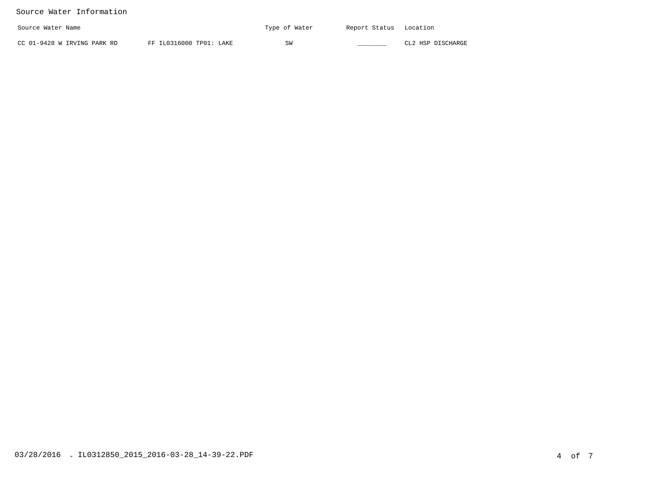### Source Water Information

| Source Water Name           |                         | Type of Water | Report Status | Location          |
|-----------------------------|-------------------------|---------------|---------------|-------------------|
| CC 01-9428 W IRVING PARK RD | FF IL0316000 TP01: LAKE | SW            |               | CL2 HSP DISCHARGE |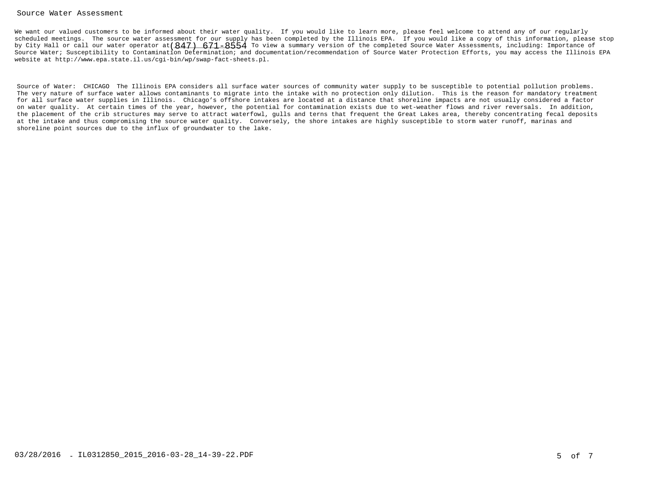### Source Water Assessment

We want our valued customers to be informed about their water quality. If you would like to learn more, please feel welcome to attend any of our regularly scheduled meetings. The source water assessment for our supply has been completed by the Illinois EPA. If you would like a copy of this information, please stopby City Hall or call our water operator at $(847)$   $\,671–8554$  To view a summary version of the completed Source Water Assessments, including: Importance of Source Water; Susceptibility to Contamination Determination; and documentation/recommendation of Source Water Protection Efforts, you may access the Illinois EPAwebsite at http://www.epa.state.il.us/cgi-bin/wp/swap-fact-sheets.pl.

Source of Water: CHICAGO The Illinois EPA considers all surface water sources of community water supply to be susceptible to potential pollution problems. The very nature of surface water allows contaminants to migrate into the intake with no protection only dilution. This is the reason for mandatory treatment for all surface water supplies in Illinois. Chicago's offshore intakes are located at a distance that shoreline impacts are not usually considered a factor on water quality. At certain times of the year, however, the potential for contamination exists due to wet-weather flows and river reversals. In addition, the placement of the crib structures may serve to attract waterfowl, gulls and terns that frequent the Great Lakes area, thereby concentrating fecal depositsat the intake and thus compromising the source water quality. Conversely, the shore intakes are highly susceptible to storm water runoff, marinas andshoreline point sources due to the influx of groundwater to the lake.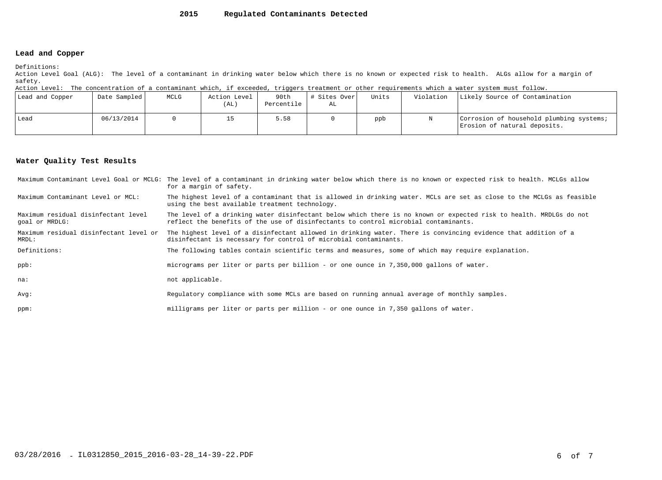#### **2015Regulated Contaminants Detected**

### **Lead and Copper**

Definitions:

 Action Level Goal (ALG): The level of a contaminant in drinking water below which there is no known or expected risk to health. ALGs allow for a margin ofsafety.

Action Level: The concentration of a contaminant which, if exceeded, triggers treatment or other requirements which a water system must follow.

| Lead and Copper | Date Sampled | MCLG | Action Level<br>(AL) | 90th<br>Percentile | # Sites Over<br>AL | Units | Violation | Likely Source of Contamination                                           |
|-----------------|--------------|------|----------------------|--------------------|--------------------|-------|-----------|--------------------------------------------------------------------------|
| Lead            | 06/13/2014   |      |                      | 5.58               |                    | ppb   |           | Corrosion of household plumbing systems;<br>Erosion of natural deposits. |

### **Water Quality Test Results**

|                                                       | Maximum Contaminant Level Goal or MCLG: The level of a contaminant in drinking water below which there is no known or expected risk to health. MCLGs allow<br>for a margin of safety.                     |
|-------------------------------------------------------|-----------------------------------------------------------------------------------------------------------------------------------------------------------------------------------------------------------|
| Maximum Contaminant Level or MCL:                     | The highest level of a contaminant that is allowed in drinking water. MCLs are set as close to the MCLGs as feasible<br>using the best available treatment technology.                                    |
| Maximum residual disinfectant level<br>qoal or MRDLG: | The level of a drinking water disinfectant below which there is no known or expected risk to health. MRDLGs do not<br>reflect the benefits of the use of disinfectants to control microbial contaminants. |
| Maximum residual disinfectant level or<br>MRDL:       | The highest level of a disinfectant allowed in drinking water. There is convincing evidence that addition of a<br>disinfectant is necessary for control of microbial contaminants.                        |
| Definitions:                                          | The following tables contain scientific terms and measures, some of which may require explanation.                                                                                                        |
| ppb:                                                  | micrograms per liter or parts per billion - or one ounce in 7,350,000 gallons of water.                                                                                                                   |
| na:                                                   | not applicable.                                                                                                                                                                                           |
| Avq:                                                  | Regulatory compliance with some MCLs are based on running annual average of monthly samples.                                                                                                              |
| ppm:                                                  | milligrams per liter or parts per million - or one ounce in 7,350 gallons of water.                                                                                                                       |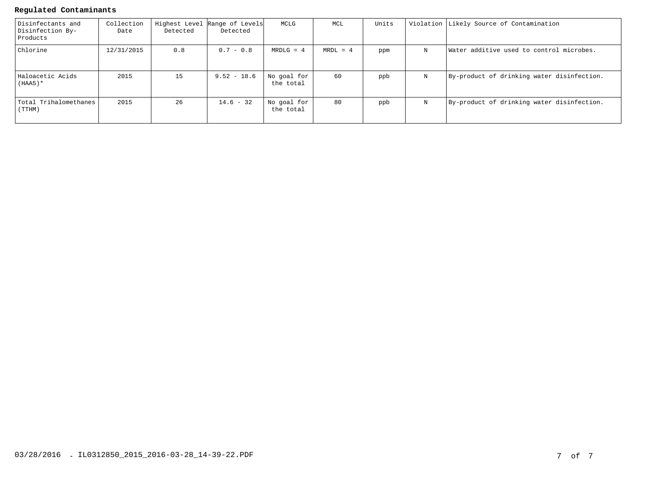### **Regulated Contaminants**

| Disinfectants and<br>Disinfection By-<br>Products | Collection<br>Date | Detected | Highest Level Range of Levels<br>Detected | MCLG                     | MCL        | Units |   | Violation Likely Source of Contamination   |
|---------------------------------------------------|--------------------|----------|-------------------------------------------|--------------------------|------------|-------|---|--------------------------------------------|
| Chlorine                                          | 12/31/2015         | 0.8      | $0.7 - 0.8$                               | $MRDLG = 4$              | $MRDL = 4$ | ppm   | N | Water additive used to control microbes.   |
| Haloacetic Acids<br>$(HAA5)^*$                    | 2015               | 15       | $9.52 - 18.6$                             | No goal for<br>the total | 60         | ppb   | N | By-product of drinking water disinfection. |
| Total Trihalomethanes<br>(TTHM)                   | 2015               | 26       | $14.6 - 32$                               | No goal for<br>the total | 80         | ppb   | N | By-product of drinking water disinfection. |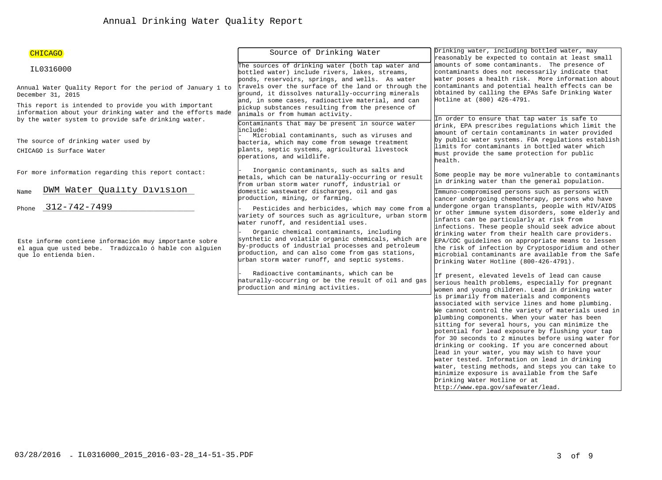| CHICAGO                                                                                                                                                                    | Source of Drinking Water                                                                                                                                                                                                                                  | Drinking water, including bottled water, may<br>reasonably be expected to contain at least small                                                                                                                                                                                                                                                                                                                                                                                                                                                                                                                                                                                                   |  |  |  |
|----------------------------------------------------------------------------------------------------------------------------------------------------------------------------|-----------------------------------------------------------------------------------------------------------------------------------------------------------------------------------------------------------------------------------------------------------|----------------------------------------------------------------------------------------------------------------------------------------------------------------------------------------------------------------------------------------------------------------------------------------------------------------------------------------------------------------------------------------------------------------------------------------------------------------------------------------------------------------------------------------------------------------------------------------------------------------------------------------------------------------------------------------------------|--|--|--|
| IL0316000                                                                                                                                                                  | The sources of drinking water (both tap water and<br>bottled water) include rivers, lakes, streams,<br>ponds, reservoirs, springs, and wells. As water                                                                                                    | amounts of some contaminants. The presence of<br>contaminants does not necessarily indicate that<br>water poses a health risk. More information about                                                                                                                                                                                                                                                                                                                                                                                                                                                                                                                                              |  |  |  |
| Annual Water Ouality Report for the period of January 1 to<br>December 31, 2015                                                                                            | travels over the surface of the land or through the<br>ground, it dissolves naturally-occurring minerals<br>and, in some cases, radioactive material, and can                                                                                             | contaminants and potential health effects can be<br>obtained by calling the EPAs Safe Drinking Water<br>Hotline at (800) 426-4791.                                                                                                                                                                                                                                                                                                                                                                                                                                                                                                                                                                 |  |  |  |
| This report is intended to provide you with important<br>information about your drinking water and the efforts made<br>by the water system to provide safe drinking water. | pickup substances resulting from the presence of<br>animals or from human activity.<br>Contaminants that may be present in source water                                                                                                                   | In order to ensure that tap water is safe to                                                                                                                                                                                                                                                                                                                                                                                                                                                                                                                                                                                                                                                       |  |  |  |
|                                                                                                                                                                            | include:<br>Microbial contaminants, such as viruses and                                                                                                                                                                                                   | drink, EPA prescribes regulations which limit the<br>amount of certain contaminants in water provided                                                                                                                                                                                                                                                                                                                                                                                                                                                                                                                                                                                              |  |  |  |
| The source of drinking water used by                                                                                                                                       | bacteria, which may come from sewage treatment                                                                                                                                                                                                            | by public water systems. FDA regulations establish                                                                                                                                                                                                                                                                                                                                                                                                                                                                                                                                                                                                                                                 |  |  |  |
| CHICAGO is Surface Water                                                                                                                                                   | plants, septic systems, agricultural livestock<br>operations, and wildlife.                                                                                                                                                                               | limits for contaminants in bottled water which<br>must provide the same protection for public<br>health.                                                                                                                                                                                                                                                                                                                                                                                                                                                                                                                                                                                           |  |  |  |
| For more information regarding this report contact:                                                                                                                        | Inorganic contaminants, such as salts and<br>metals, which can be naturally-occurring or result<br>from urban storm water runoff, industrial or                                                                                                           | Some people may be more vulnerable to contaminants<br>in drinking water than the general population.                                                                                                                                                                                                                                                                                                                                                                                                                                                                                                                                                                                               |  |  |  |
| DWM Water Quality Division<br>Name                                                                                                                                         | domestic wastewater discharges, oil and gas<br>production, mining, or farming.                                                                                                                                                                            | Immuno-compromised persons such as persons with<br>cancer undergoing chemotherapy, persons who have                                                                                                                                                                                                                                                                                                                                                                                                                                                                                                                                                                                                |  |  |  |
| 312-742-7499<br>Phone                                                                                                                                                      | Pesticides and herbicides, which may come from a<br>variety of sources such as agriculture, urban storm<br>water runoff, and residential uses.                                                                                                            | undergone organ transplants, people with HIV/AIDS<br>or other immune system disorders, some elderly and<br>infants can be particularly at risk from                                                                                                                                                                                                                                                                                                                                                                                                                                                                                                                                                |  |  |  |
| Este informe contiene información muy importante sobre<br>el aqua que usted bebe. Tradúzcalo ó hable con alquien<br>que lo entienda bien.                                  | Organic chemical contaminants, including<br>synthetic and volatile organic chemicals, which are<br>by-products of industrial processes and petroleum<br>production, and can also come from gas stations,<br>urban storm water runoff, and septic systems. | infections. These people should seek advice about<br>drinking water from their health care providers.<br>EPA/CDC guidelines on appropriate means to lessen<br>the risk of infection by Cryptosporidium and other<br>microbial contaminants are available from the Safe<br>Drinking Water Hotline (800-426-4791).                                                                                                                                                                                                                                                                                                                                                                                   |  |  |  |
|                                                                                                                                                                            | Radioactive contaminants, which can be<br>naturally-occurring or be the result of oil and gas<br>production and mining activities.                                                                                                                        | If present, elevated levels of lead can cause<br>serious health problems, especially for pregnant<br>women and young children. Lead in drinking water                                                                                                                                                                                                                                                                                                                                                                                                                                                                                                                                              |  |  |  |
|                                                                                                                                                                            |                                                                                                                                                                                                                                                           | is primarily from materials and components<br>associated with service lines and home plumbing.<br>We cannot control the variety of materials used in<br>plumbing components. When your water has been<br>sitting for several hours, you can minimize the<br>potential for lead exposure by flushing your tap<br>for 30 seconds to 2 minutes before using water for<br>drinking or cooking. If you are concerned about<br>lead in your water, you may wish to have your<br>water tested. Information on lead in drinking<br>water, testing methods, and steps you can take to<br>minimize exposure is available from the Safe<br>Drinking Water Hotline or at<br>http://www.epa.gov/safewater/lead. |  |  |  |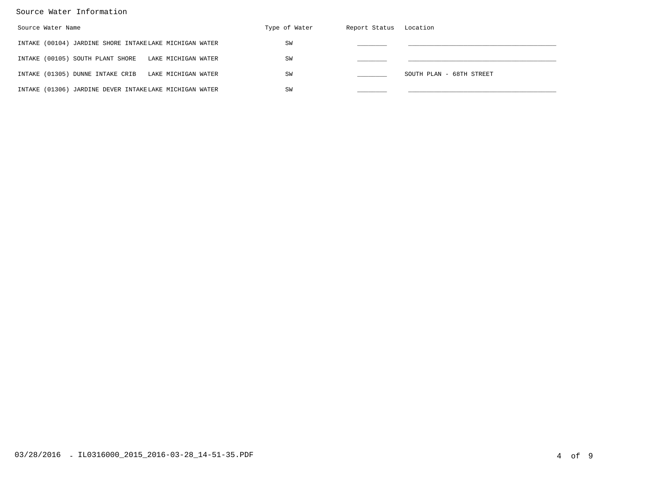### Source Water Information

| Source Water Name                                       | Type of Water | Report Status Location |                          |
|---------------------------------------------------------|---------------|------------------------|--------------------------|
| INTAKE (00104) JARDINE SHORE INTAKELAKE MICHIGAN WATER  | SW            |                        |                          |
| INTAKE (00105) SOUTH PLANT SHORE<br>LAKE MICHIGAN WATER | SW            |                        |                          |
| INTAKE (01305) DUNNE INTAKE CRIB<br>LAKE MICHIGAN WATER | SW            |                        | SOUTH PLAN - 68TH STREET |
| INTAKE (01306) JARDINE DEVER INTAKELAKE MICHIGAN WATER  | SW            |                        |                          |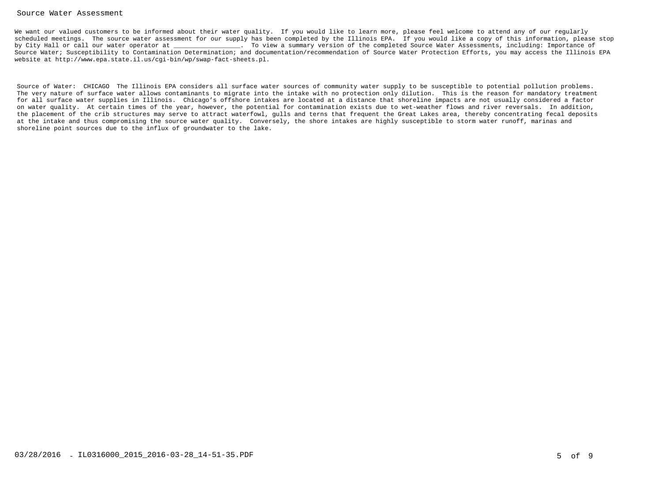### Source Water Assessment

We want our valued customers to be informed about their water quality. If you would like to learn more, please feel welcome to attend any of our regularly scheduled meetings. The source water assessment for our supply has been completed by the Illinois EPA. If you would like a copy of this information, please stopby City Hall or call our water operator at  $\qquad \qquad$  . To view a summary version of the completed Source Water Assessments, including: Importance of Source Water; Susceptibility to Contamination Determination; and documentation/recommendation of Source Water Protection Efforts, you may access the Illinois EPAwebsite at http://www.epa.state.il.us/cgi-bin/wp/swap-fact-sheets.pl.

Source of Water: CHICAGO The Illinois EPA considers all surface water sources of community water supply to be susceptible to potential pollution problems. The very nature of surface water allows contaminants to migrate into the intake with no protection only dilution. This is the reason for mandatory treatment for all surface water supplies in Illinois. Chicago's offshore intakes are located at a distance that shoreline impacts are not usually considered a factor on water quality. At certain times of the year, however, the potential for contamination exists due to wet-weather flows and river reversals. In addition, the placement of the crib structures may serve to attract waterfowl, gulls and terns that frequent the Great Lakes area, thereby concentrating fecal depositsat the intake and thus compromising the source water quality. Conversely, the shore intakes are highly susceptible to storm water runoff, marinas andshoreline point sources due to the influx of groundwater to the lake.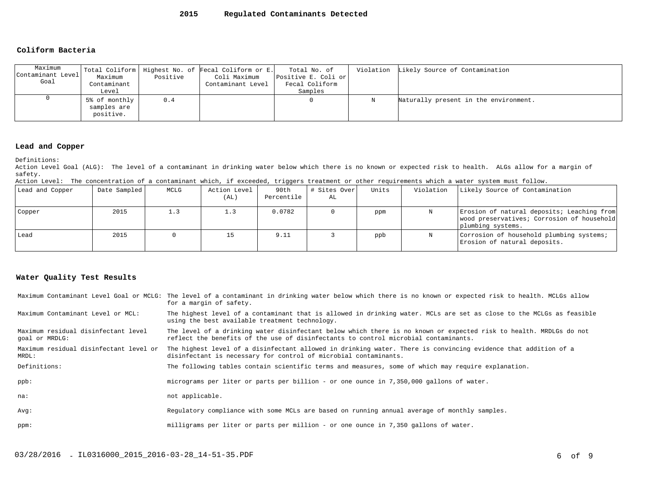### **Coliform Bacteria**

| Maximum<br>Contaminant Level<br>Goal | Maximum<br>Contaminant<br>Level                  | Positive | Total Coliform   Highest No. of Fecal Coliform or E.<br>Coli Maximum<br>Contaminant Level | Total No. of<br>Positive E. Coli or<br>Fecal Coliform<br>Samples |   | Violation Likely Source of Contamination |
|--------------------------------------|--------------------------------------------------|----------|-------------------------------------------------------------------------------------------|------------------------------------------------------------------|---|------------------------------------------|
|                                      | $5\%$ of monthly $ $<br>samples are<br>positive. | 0.4      |                                                                                           |                                                                  | N | Naturally present in the environment.    |

### **Lead and Copper**

Definitions:

 Action Level Goal (ALG): The level of a contaminant in drinking water below which there is no known or expected risk to health. ALGs allow for a margin ofsafety.

Action Level: The concentration of a contaminant which, if exceeded, triggers treatment or other requirements which a water system must follow.

| Lead and Copper | Date Sampled | MCLG | Action Level<br>(AL) | 90th<br>Percentile | # Sites Over<br>AL | Units | Violation | Likely Source of Contamination                                                                                |
|-----------------|--------------|------|----------------------|--------------------|--------------------|-------|-----------|---------------------------------------------------------------------------------------------------------------|
| Copper          | 2015         | 1.3  | 1.3                  | 0.0782             |                    | ppm   |           | Erosion of natural deposits; Leaching from<br>wood preservatives; Corrosion of household<br>plumbing systems. |
| Lead            | 2015         |      | 15                   | 9.11               |                    | ppb   |           | Corrosion of household plumbing systems;<br>Erosion of natural deposits.                                      |

### **Water Quality Test Results**

|                                                       | Maximum Contaminant Level Goal or MCLG: The level of a contaminant in drinking water below which there is no known or expected risk to health. MCLGs allow<br>for a margin of safety.                     |
|-------------------------------------------------------|-----------------------------------------------------------------------------------------------------------------------------------------------------------------------------------------------------------|
| Maximum Contaminant Level or MCL:                     | The highest level of a contaminant that is allowed in drinking water. MCLs are set as close to the MCLGs as feasible<br>using the best available treatment technology.                                    |
| Maximum residual disinfectant level<br>qoal or MRDLG: | The level of a drinking water disinfectant below which there is no known or expected risk to health. MRDLGs do not<br>reflect the benefits of the use of disinfectants to control microbial contaminants. |
| Maximum residual disinfectant level or<br>MRDL:       | The highest level of a disinfectant allowed in drinking water. There is convincing evidence that addition of a<br>disinfectant is necessary for control of microbial contaminants.                        |
| Definitions:                                          | The following tables contain scientific terms and measures, some of which may require explanation.                                                                                                        |
| ppb:                                                  | micrograms per liter or parts per billion - or one ounce in 7,350,000 gallons of water.                                                                                                                   |
| na:                                                   | not applicable.                                                                                                                                                                                           |
| Avq:                                                  | Requiatory compliance with some MCLs are based on running annual average of monthly samples.                                                                                                              |
| ppm:                                                  | milligrams per liter or parts per million - or one ounce in 7,350 gallons of water.                                                                                                                       |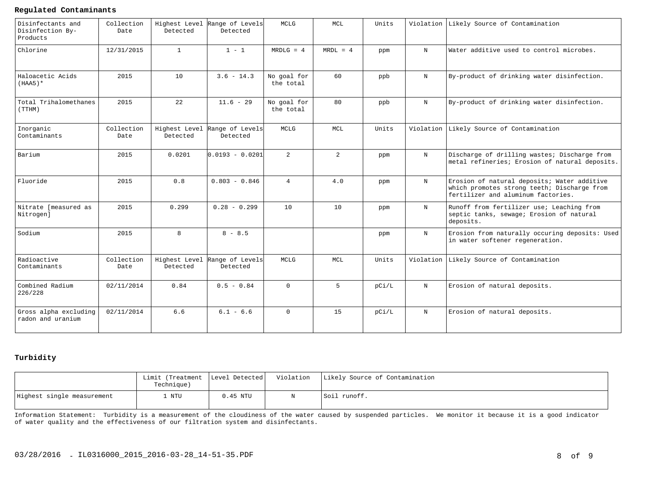### **Regulated Contaminants**

| Disinfectants and<br>Disinfection By-<br>Products | Collection<br>Date | Detected     | Highest Level Range of Levels<br>Detected | MCLG                     | MCL            | Units |            | Violation Likely Source of Contamination                                                                                         |
|---------------------------------------------------|--------------------|--------------|-------------------------------------------|--------------------------|----------------|-------|------------|----------------------------------------------------------------------------------------------------------------------------------|
| Chlorine                                          | 12/31/2015         | $\mathbf{1}$ | $1 - 1$                                   | $MRDLG = 4$              | $MRDL = 4$     | ppm   | $_{\rm N}$ | Water additive used to control microbes.                                                                                         |
| Haloacetic Acids<br>$(HAA5)$ *                    | 2015               | 10           | $3.6 - 14.3$                              | No goal for<br>the total | 60             | ppb   | $_{\rm N}$ | By-product of drinking water disinfection.                                                                                       |
| Total Trihalomethanes<br>(TTHM)                   | 2015               | 2.2          | $11.6 - 29$                               | No goal for<br>the total | 80             | ppb   | $_{\rm N}$ | By-product of drinking water disinfection.                                                                                       |
| Inorganic<br>Contaminants                         | Collection<br>Date | Detected     | Highest Level Range of Levels<br>Detected | <b>MCLG</b>              | <b>MCL</b>     | Units | Violation  | Likely Source of Contamination                                                                                                   |
| Barium                                            | 2015               | 0.0201       | lo.o193 - o.o2o1                          | $\overline{2}$           | $\overline{2}$ | ppm   | $_{\rm N}$ | Discharge of drilling wastes; Discharge from<br>metal refineries; Erosion of natural deposits.                                   |
| Fluoride                                          | 2015               | 0.8          | $0.803 - 0.846$                           | $\overline{4}$           | 4.0            | ppm   | $_{\rm N}$ | Erosion of natural deposits; Water additive<br>which promotes strong teeth; Discharge from<br>fertilizer and aluminum factories. |
| Nitrate [measured as<br>Nitrogen]                 | 2015               | 0.299        | $0.28 - 0.299$                            | 10                       | 10             | ppm   | $_{\rm N}$ | Runoff from fertilizer use; Leaching from<br>septic tanks, sewage; Erosion of natural<br>deposits.                               |
| Sodium                                            | 2015               | 8            | $8 - 8.5$                                 |                          |                | ppm   | $_{\rm N}$ | Erosion from naturally occuring deposits: Used<br>in water softener regeneration.                                                |
| Radioactive<br>Contaminants                       | Collection<br>Date | Detected     | Highest Level Range of Levels<br>Detected | MCLG                     | MCL            | Units |            | Violation Likely Source of Contamination                                                                                         |
| Combined Radium<br>226/228                        | 02/11/2014         | 0.84         | $0.5 - 0.84$                              | $\Omega$                 | 5              | pCi/L | N          | Erosion of natural deposits.                                                                                                     |
| Gross alpha excluding<br>radon and uranium        | 02/11/2014         | 6.6          | $6.1 - 6.6$                               | $\Omega$                 | 1.5            | pCi/L | $_{\rm N}$ | Erosion of natural deposits.                                                                                                     |

### **Turbidity**

|                            | Limit (Treatment   Level Detected <br>Technique) |          | Violation   Likely Source of Contamination |
|----------------------------|--------------------------------------------------|----------|--------------------------------------------|
| Highest single measurement | NTU                                              | 0.45 NTU | Soil runoff.                               |

Information Statement: Turbidity is a measurement of the cloudiness of the water caused by suspended particles. We monitor it because it is a good indicatorof water quality and the effectiveness of our filtration system and disinfectants.